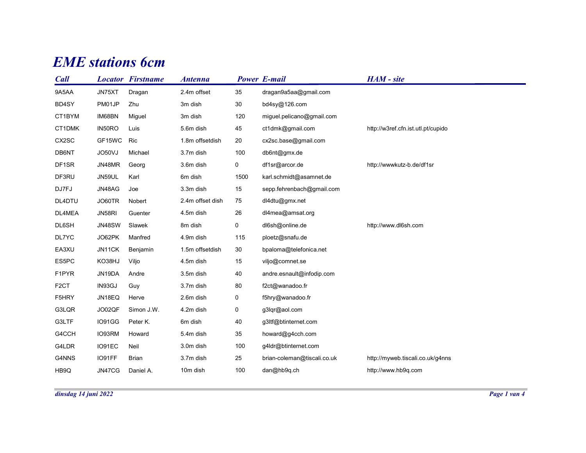## **EME** stations 6cm

| <b>EME</b> stations 6cm |               |                          |                  |             |                             |                                    |  |  |
|-------------------------|---------------|--------------------------|------------------|-------------|-----------------------------|------------------------------------|--|--|
|                         |               |                          |                  |             |                             |                                    |  |  |
| <b>Call</b>             |               | <b>Locator Firstname</b> | <b>Antenna</b>   |             | <b>Power E-mail</b>         | HAM - site                         |  |  |
| 9A5AA                   | JN75XT        | Dragan                   | 2.4m offset      | 35          | dragan9a5aa@gmail.com       |                                    |  |  |
| BD4SY                   | PM01JP        | Zhu                      | 3m dish          | $30\,$      | bd4sy@126.com               |                                    |  |  |
| CT1BYM                  | IM68BN        | Miguel                   | 3m dish          | 120         | miguel.pelicano@gmail.com   |                                    |  |  |
| CT1DMK                  | IN50RO        | Luis                     | 5.6m dish        | 45          | ct1dmk@gmail.com            | http://w3ref.cfn.ist.utl.pt/cupido |  |  |
| CX2SC                   | GF15WC        | Ric                      | 1.8m offsetdish  | 20          | cx2sc.base@gmail.com        |                                    |  |  |
| DB6NT                   | JO50VJ        | Michael                  | 3.7m dish        | 100         | db6nt@gmx.de                |                                    |  |  |
| DF1SR                   | JN48MR        | Georg                    | 3.6m dish        | 0           | df1sr@arcor.de              | http://wwwkutz-b.de/df1sr          |  |  |
| DF3RU                   | JN59UL        | Karl                     | 6m dish          | 1500        | karl.schmidt@asamnet.de     |                                    |  |  |
| DJ7FJ                   | JN48AG        | Joe                      | 3.3m dish        | 15          | sepp.fehrenbach@gmail.com   |                                    |  |  |
| DL4DTU                  | JO60TR        | Nobert                   | 2.4m offset dish | 75          | dl4dtu@gmx.net              |                                    |  |  |
| DL4MEA                  | JN58RI        | Guenter                  | 4.5m dish        | 26          | dl4mea@amsat.org            |                                    |  |  |
| DL6SH                   | <b>JN48SW</b> | Slawek                   | 8m dish          | $\mathbf 0$ | dl6sh@online.de             | http://www.dl6sh.com               |  |  |
| DL7YC                   | JO62PK        | Manfred                  | 4.9m dish        | 115         | ploetz@snafu.de             |                                    |  |  |
| EA3XU                   | JN11CK        | Benjamin                 | 1.5m offsetdish  | 30          | bpaloma@telefonica.net      |                                    |  |  |
| ES5PC                   | KO38HJ        | Viljo                    | 4.5m dish        | 15          | viljo@comnet.se             |                                    |  |  |
| F1PYR                   | JN19DA        | Andre                    | 3.5m dish        | 40          | andre.esnault@infodip.com   |                                    |  |  |
| F <sub>2</sub> CT       | IN93GJ        | Guy                      | 3.7m dish        | 80          | f2ct@wanadoo.fr             |                                    |  |  |
| F5HRY                   | JN18EQ        | Herve                    | 2.6m dish        | $\mathbf 0$ | f5hry@wanadoo.fr            |                                    |  |  |
| G3LQR                   | JO02QF        | Simon J.W.               | 4.2m dish        | $\mathbf 0$ | g3lqr@aol.com               |                                    |  |  |
| G3LTF                   | IO91GG        | Peter K.                 | 6m dish          | $40\,$      | g3ltf@btinternet.com        |                                    |  |  |
| G4CCH                   | IO93RM        | Howard                   | 5.4m dish        | $35\,$      | howard@g4cch.com            |                                    |  |  |
|                         |               |                          | 3.0m dish        | 100         | g4ldr@btinternet.com        |                                    |  |  |
| G4LDR                   | IO91EC        | Neil                     |                  |             |                             |                                    |  |  |
| G4NNS                   | IO91FF        | Brian                    | 3.7m dish        | 25          | brian-coleman@tiscali.co.uk | http://myweb.tiscali.co.uk/g4nns   |  |  |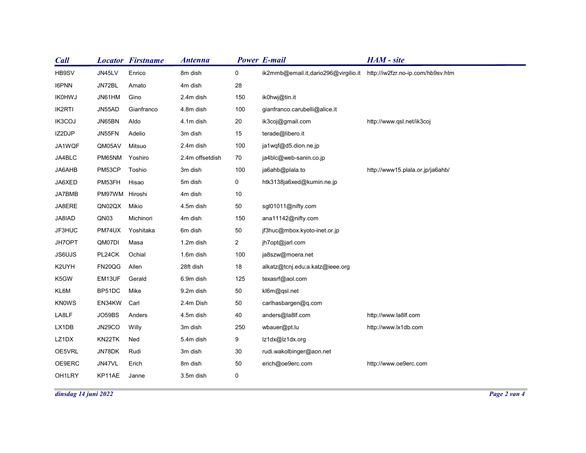| <b>Call</b>   |                      | <b>Locator Firstname</b> | <b>Antenna</b>  |                | <b>Power E-mail</b>                  | HAM - site                        |
|---------------|----------------------|--------------------------|-----------------|----------------|--------------------------------------|-----------------------------------|
| HB9SV         | JN45LV               | Enrico                   | 8m dish         | $\mathbf 0$    | ik2mmb@email.it,dario296@virgilio.it | http://iw2fzr.no-ip.com/hb9sv.htm |
| I6PNN         | JN72BL               | Amato                    | 4m dish         | 28             |                                      |                                   |
| <b>IK0HWJ</b> | JN61HM               | Gino                     | 2.4m dish       | 150            | ik0hwj@tin.it                        |                                   |
| IK2RTI        | JN55AD               | Gianfranco               | 4.8m dish       | 100            | gianfranco.carubelli@alice.it        |                                   |
| IK3COJ        | JN65BN               | Aldo                     | 4.1m dish       | 20             | ik3coj@gmail.com                     | http://www.qsl.net/ik3coj         |
| IZ2DJP        | JN55FN               | Adelio                   | 3m dish         | 15             | terade@libero.it                     |                                   |
| JA1WQF        | QM05AV               | Mitsuo                   | 2.4m dish       | 100            | ja1wqf@d5.dion.ne.jp                 |                                   |
| JA4BLC        | PM65NM               | Yoshiro                  | 2.4m offsetdish | 70             | ja4blc@web-sanin.co.jp               |                                   |
| JA6AHB        | PM53CP               | Toshio                   | 3m dish         | 100            | ja6ahb@plala.to                      | http://www15.plala.or.jp/ja6ahb/  |
| JA6XED        | PM53FH               | Hisao                    | 5m dish         | $\mathbf{0}$   | htk3138ja6xed@kumin.ne.jp            |                                   |
| JA7BMB        | PM97WM Hiroshi       |                          | 4m dish         | $10\,$         |                                      |                                   |
| JA8ERE        | QN02QX Mikio         |                          | 4.5m dish       | $50\,$         | sgl01011@nifty.com                   |                                   |
| JA8IAD        | QN03                 | Michinori                | 4m dish         | 150            | ana11142@nifty.com                   |                                   |
| JF3HUC        |                      | PM74UX Yoshitaka         | 6m dish         | 50             | jf3huc@mbox.kyoto-inet.or.jp         |                                   |
| JH7OPT        | QM07DI               | Masa                     | 1.2m dish       | $\overline{a}$ | jh7opt@jarl.com                      |                                   |
| JS6UJS        | PL24CK               | Ochial                   | 1.6m dish       | 100            | ja8szw@moera.net                     |                                   |
| K2UYH         | FN20QG               | Allen                    | 28ft dish       | 18             | alkatz@tcnj.edu;a.katz@ieee.org      |                                   |
| K5GW          | EM13UF               | Gerald                   | 6.9m dish       | 125            | texasrf@aol.com                      |                                   |
| KL6M          | BP51DC Mike          |                          | 9.2m dish       | 50             | kl6m@qsl.net                         |                                   |
| KN0WS         | EN34KW Carl          |                          | 2.4m Dish       | 50             | carlhasbargen@q.com                  |                                   |
| LA8LF         | JO59BS               | Anders                   | 4.5m dish       | 40             | anders@la8lf.com                     | http://www.la8lf.com              |
| LX1DB         | <b>JN29CO</b>        | Willy                    | 3m dish         | 250            | wbauer@pt.lu                         | http://www.lx1db.com              |
| LZ1DX         | KN22TK Ned           |                          | 5.4m dish       | 9              | lz1dx@lz1dx.org                      |                                   |
| OE5VRL        | JN78DK               | Rudi                     | 3m dish         | $30\,$         | rudi.wakolbinger@aon.net             |                                   |
| OE9ERC        | JN47VL               | Erich                    | 8m dish         | $50\,$         | erich@oe9erc.com                     | http://www.oe9erc.com             |
| OH1LRY        | KP11AE               | Janne                    | 3.5m dish       | $\mathbf 0$    |                                      |                                   |
|               | dinsdag 14 juni 2022 |                          |                 |                |                                      |                                   |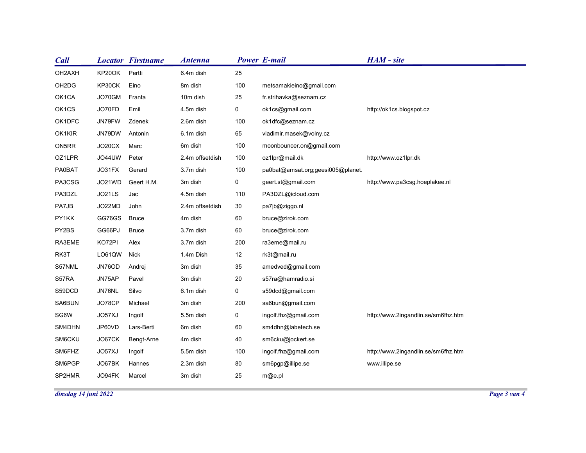| <b>Call</b>                    |             | <b>Locator Firstname</b> | <b>Antenna</b>  |                | <b>Power E-mail</b>               | HAM - site                          |              |  |
|--------------------------------|-------------|--------------------------|-----------------|----------------|-----------------------------------|-------------------------------------|--------------|--|
| OH2AXH                         | KP20OK      | Pertti                   | 6.4m dish       | 25             |                                   |                                     |              |  |
| OH <sub>2</sub> D <sub>G</sub> | KP30CK      | Eino                     | 8m dish         | 100            | metsamakieino@gmail.com           |                                     |              |  |
| OK1CA                          | JO70GM      | Franta                   | 10m dish        | 25             | fr.strihavka@seznam.cz            |                                     |              |  |
| OK1CS                          | JO70FD      | Emil                     | 4.5m dish       | $\overline{0}$ | ok1cs@gmail.com                   | http://ok1cs.blogspot.cz            |              |  |
| OK1DFC                         | JN79FW      | Zdenek                   | 2.6m dish       | 100            | ok1dfc@seznam.cz                  |                                     |              |  |
| OK1KIR                         | JN79DW      | Antonin                  | 6.1m dish       | 65             | vladimir.masek@volny.cz           |                                     |              |  |
| ON5RR                          | JO20CX      | Marc                     | 6m dish         | 100            | moonbouncer.on@gmail.com          |                                     |              |  |
| OZ1LPR                         | JO44UW      | Peter                    | 2.4m offsetdish | 100            | oz1lpr@mail.dk                    | http://www.oz1lpr.dk                |              |  |
| <b>PA0BAT</b>                  | JO31FX      | Gerard                   | 3.7m dish       | 100            | pa0bat@amsat.org;geesi005@planet. |                                     |              |  |
| PA3CSG                         | JO21WD      | Geert H.M.               | 3m dish         | $\mathbf 0$    | geert.st@gmail.com                | http://www.pa3csg.hoeplakee.nl      |              |  |
| PA3DZL                         | JO21LS      | Jac                      | 4.5m dish       | 110            | PA3DZL@icloud.com                 |                                     |              |  |
| PA7JB                          | JO22MD      | John                     | 2.4m offsetdish | 30             | pa7jb@ziggo.nl                    |                                     |              |  |
| PY1KK                          | GG76GS      | <b>Bruce</b>             | 4m dish         | 60             | bruce@zirok.com                   |                                     |              |  |
| PY2BS                          | GG66PJ      | <b>Bruce</b>             | 3.7m dish       | 60             | bruce@zirok.com                   |                                     |              |  |
| RA3EME                         | KO72PI      | Alex                     | 3.7m dish       | 200            | ra3eme@mail.ru                    |                                     |              |  |
| RK3T                           | LO61QW Nick |                          | 1.4m Dish       | 12             | rk3t@mail.ru                      |                                     |              |  |
| S57NML                         | JN76OD      | Andrej                   | 3m dish         | 35             | amedved@gmail.com                 |                                     |              |  |
| S57RA                          | JN75AP      | Pavel                    | 3m dish         | 20             | s57ra@hamradio.si                 |                                     |              |  |
| S59DCD                         | JN76NL      | Silvo                    | 6.1m dish       | $\overline{0}$ | s59dcd@gmail.com                  |                                     |              |  |
| SA6BUN                         | JO78CP      | Michael                  | 3m dish         | 200            | sa6bun@gmail.com                  |                                     |              |  |
| SG6W                           | JO57XJ      | Ingolf                   | 5.5m dish       | $\overline{0}$ | ingolf.fhz@gmail.com              | http://www.2ingandlin.se/sm6fhz.htm |              |  |
| SM4DHN                         | JP60VD      | Lars-Berti               | 6m dish         | 60             | sm4dhn@labetech.se                |                                     |              |  |
| SM6CKU                         | JO67CK      | Bengt-Arne               | 4m dish         | 40             | sm6cku@jockert.se                 |                                     |              |  |
| SM6FHZ                         | JO57XJ      | Ingolf                   | 5.5m dish       | 100            | ingolf.fhz@gmail.com              | http://www.2ingandlin.se/sm6fhz.htm |              |  |
| SM6PGP                         | JO67BK      | Hannes                   | 2.3m dish       | 80             | sm6pgp@illipe.se                  | www.illipe.se                       |              |  |
| SP2HMR                         | JO94FK      | Marcel                   | 3m dish         | 25             | m@e.pl                            |                                     |              |  |
| dinsdag 14 juni 2022           |             |                          |                 |                |                                   |                                     | Page 3 van 4 |  |
|                                |             |                          |                 |                |                                   |                                     |              |  |